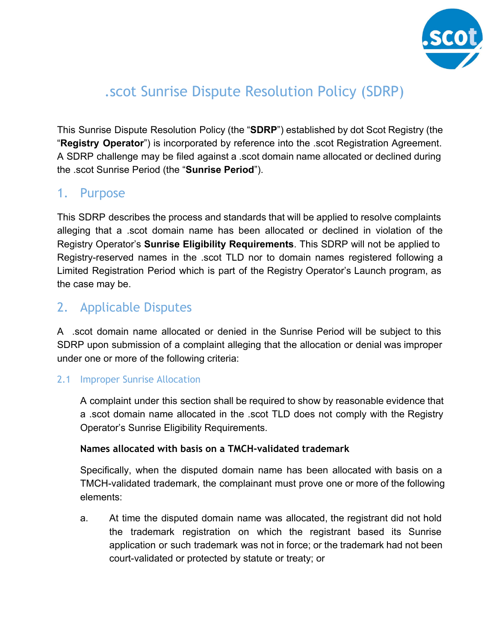

# .scot Sunrise Dispute Resolution Policy (SDRP)

This Sunrise Dispute Resolution Policy (the "**SDRP**") established by dot Scot Registry (the "**Registry Operator**") is incorporated by reference into the .scot Registration Agreement. A SDRP challenge may be filed against a .scot domain name allocated or declined during the .scot Sunrise Period (the "**Sunrise Period**").

### 1. Purpose

This SDRP describes the process and standards that will be applied to resolve complaints alleging that a .scot domain name has been allocated or declined in violation of the Registry Operator's **Sunrise Eligibility Requirements**. This SDRP will not be applied to Registry-reserved names in the scot TLD nor to domain names registered following a Limited Registration Period which is part of the Registry Operator's Launch program, as the case may be.

### 2. Applicable Disputes

A .scot domain name allocated or denied in the Sunrise Period will be subject to this SDRP upon submission of a complaint alleging that the allocation or denial was improper under one or more of the following criteria:

### 2.1 Improper Sunrise Allocation

A complaint under this section shall be required to show by reasonable evidence that a .scot domain name allocated in the .scot TLD does not comply with the Registry Operator's Sunrise Eligibility Requirements.

### **Names allocated with basis on a TMCH-validated trademark**

Specifically, when the disputed domain name has been allocated with basis on a TMCH-validated trademark, the complainant must prove one or more of the following elements:

a. At time the disputed domain name was allocated, the registrant did not hold the trademark registration on which the registrant based its Sunrise application or such trademark was not in force; or the trademark had not been court-validated or protected by statute or treaty; or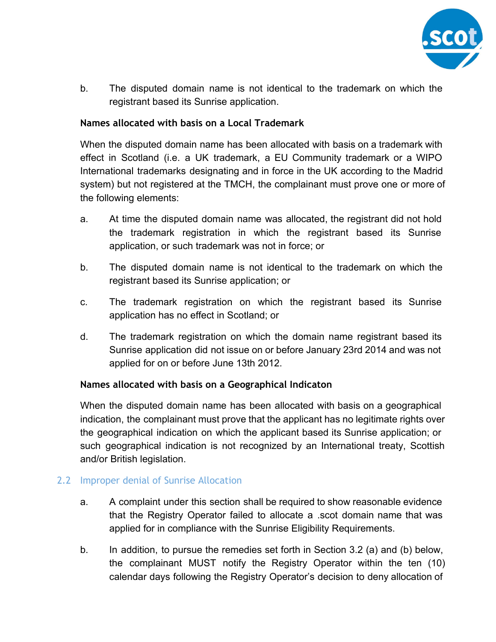

b. The disputed domain name is not identical to the trademark on which the registrant based its Sunrise application.

#### **Names allocated with basis on a Local Trademark**

When the disputed domain name has been allocated with basis on a trademark with effect in Scotland (i.e. a UK trademark, a EU Community trademark or a WIPO International trademarks designating and in force in the UK according to the Madrid system) but not registered at the TMCH, the complainant must prove one or more of the following elements:

- a. At time the disputed domain name was allocated, the registrant did not hold the trademark registration in which the registrant based its Sunrise application, or such trademark was not in force; or
- b. The disputed domain name is not identical to the trademark on which the registrant based its Sunrise application; or
- c. The trademark registration on which the registrant based its Sunrise application has no effect in Scotland; or
- d. The trademark registration on which the domain name registrant based its Sunrise application did not issue on or before January 23rd 2014 and was not applied for on or before June 13th 2012.

#### **Names allocated with basis on a Geographical Indicaton**

When the disputed domain name has been allocated with basis on a geographical indication, the complainant must prove that the applicant has no legitimate rights over the geographical indication on which the applicant based its Sunrise application; or such geographical indication is not recognized by an International treaty, Scottish and/or British legislation.

### 2.2 Improper denial of Sunrise Allocation

- a. A complaint under this section shall be required to show reasonable evidence that the Registry Operator failed to allocate a .scot domain name that was applied for in compliance with the Sunrise Eligibility Requirements.
- b. In addition, to pursue the remedies set forth in Section 3.2 (a) and (b) below, the complainant MUST notify the Registry Operator within the ten (10) calendar days following the Registry Operator's decision to deny allocation of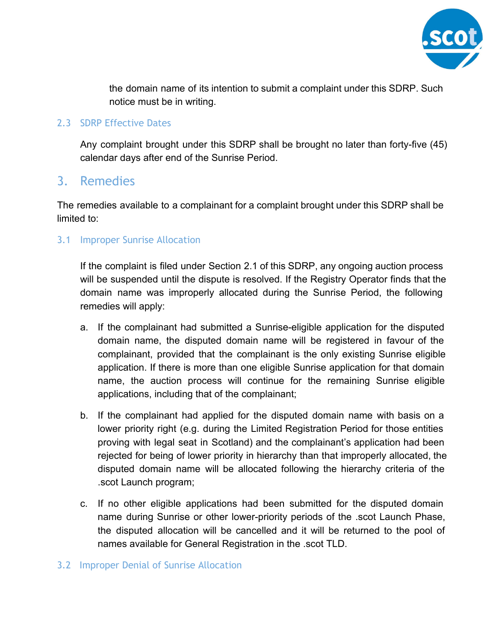

the domain name of its intention to submit a complaint under this SDRP. Such notice must be in writing.

#### 2.3 SDRP Effective Dates

Any complaint brought under this SDRP shall be brought no later than forty-five (45) calendar days after end of the Sunrise Period.

### 3. Remedies

The remedies available to a complainant for a complaint brought under this SDRP shall be limited to:

### 3.1 Improper Sunrise Allocation

If the complaint is filed under Section 2.1 of this SDRP, any ongoing auction process will be suspended until the dispute is resolved. If the Registry Operator finds that the domain name was improperly allocated during the Sunrise Period, the following remedies will apply:

- a. If the complainant had submitted a Sunrise-eligible application for the disputed domain name, the disputed domain name will be registered in favour of the complainant, provided that the complainant is the only existing Sunrise eligible application. If there is more than one eligible Sunrise application for that domain name, the auction process will continue for the remaining Sunrise eligible applications, including that of the complainant;
- b. If the complainant had applied for the disputed domain name with basis on a lower priority right (e.g. during the Limited Registration Period for those entities proving with legal seat in Scotland) and the complainant's application had been rejected for being of lower priority in hierarchy than that improperly allocated, the disputed domain name will be allocated following the hierarchy criteria of the .scot Launch program;
- c. If no other eligible applications had been submitted for the disputed domain name during Sunrise or other lower-priority periods of the .scot Launch Phase, the disputed allocation will be cancelled and it will be returned to the pool of names available for General Registration in the .scot TLD.

#### 3.2 Improper Denial of Sunrise Allocation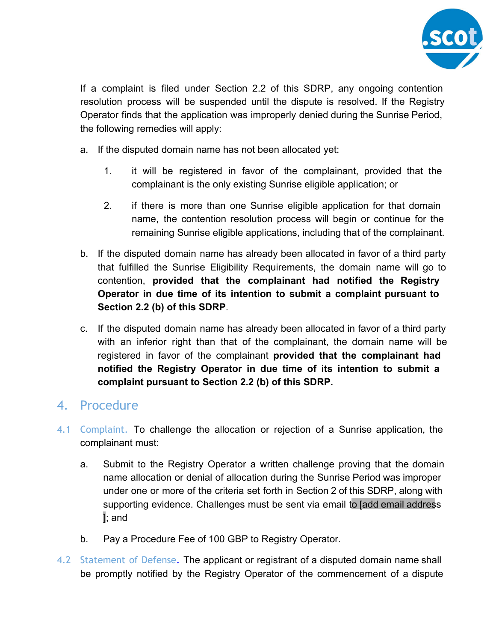

If a complaint is filed under Section 2.2 of this SDRP, any ongoing contention resolution process will be suspended until the dispute is resolved. If the Registry Operator finds that the application was improperly denied during the Sunrise Period, the following remedies will apply:

- a. If the disputed domain name has not been allocated yet:
	- 1. it will be registered in favor of the complainant, provided that the complainant is the only existing Sunrise eligible application; or
	- 2. if there is more than one Sunrise eligible application for that domain name, the contention resolution process will begin or continue for the remaining Sunrise eligible applications, including that of the complainant.
- b. If the disputed domain name has already been allocated in favor of a third party that fulfilled the Sunrise Eligibility Requirements, the domain name will go to contention, **provided that the complainant had notified the Registry Operator in due time of its intention to submit a complaint pursuant to Section 2.2 (b) of this SDRP**.
- c. If the disputed domain name has already been allocated in favor of a third party with an inferior right than that of the complainant, the domain name will be registered in favor of the complainant **provided that the complainant had notified the Registry Operator in due time of its intention to submit a complaint pursuant to Section 2.2 (b) of this SDRP.**

### 4. Procedure

- 4.1 Complaint. To challenge the allocation or rejection of a Sunrise application, the complainant must:
	- a. Submit to the Registry Operator a written challenge proving that the domain name allocation or denial of allocation during the Sunrise Period was improper under one or more of the criteria set forth in Section 2 of this SDRP, along with supporting evidence. Challenges must be sent via email to [add email address ]; and
	- b. Pay a Procedure Fee of 100 GBP to Registry Operator.
- 4.2 Statement of Defense. The applicant or registrant of a disputed domain name shall be promptly notified by the Registry Operator of the commencement of a dispute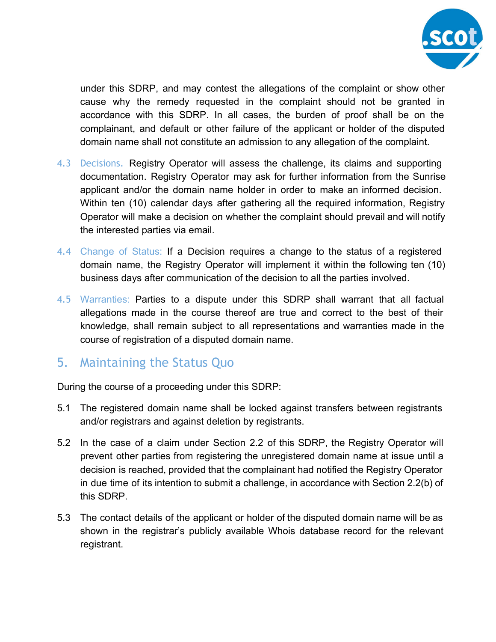

under this SDRP, and may contest the allegations of the complaint or show other cause why the remedy requested in the complaint should not be granted in accordance with this SDRP. In all cases, the burden of proof shall be on the complainant, and default or other failure of the applicant or holder of the disputed domain name shall not constitute an admission to any allegation of the complaint.

- 4.3 Decisions. Registry Operator will assess the challenge, its claims and supporting documentation. Registry Operator may ask for further information from the Sunrise applicant and/or the domain name holder in order to make an informed decision. Within ten (10) calendar days after gathering all the required information, Registry Operator will make a decision on whether the complaint should prevail and will notify the interested parties via email.
- 4.4 Change of Status: If a Decision requires a change to the status of a registered domain name, the Registry Operator will implement it within the following ten (10) business days after communication of the decision to all the parties involved.
- 4.5 Warranties: Parties to a dispute under this SDRP shall warrant that all factual allegations made in the course thereof are true and correct to the best of their knowledge, shall remain subject to all representations and warranties made in the course of registration of a disputed domain name.

### 5. Maintaining the Status Quo

During the course of a proceeding under this SDRP:

- 5.1 The registered domain name shall be locked against transfers between registrants and/or registrars and against deletion by registrants.
- 5.2 In the case of a claim under Section 2.2 of this SDRP, the Registry Operator will prevent other parties from registering the unregistered domain name at issue until a decision is reached, provided that the complainant had notified the Registry Operator in due time of its intention to submit a challenge, in accordance with Section 2.2(b) of this SDRP.
- 5.3 The contact details of the applicant or holder of the disputed domain name will be as shown in the registrar's publicly available Whois database record for the relevant registrant.